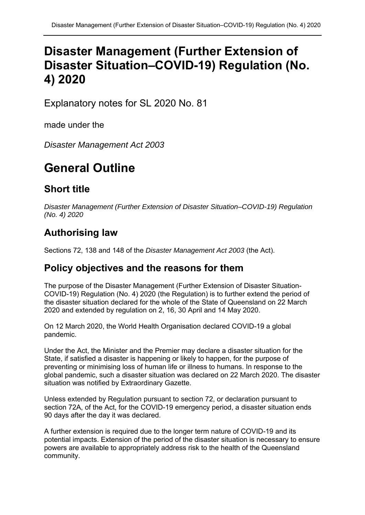# **Disaster Management (Further Extension of Disaster Situation–COVID-19) Regulation (No. 4) 2020**

Explanatory notes for SL 2020 No. 81

made under the

*Disaster Management Act 2003* 

# **General Outline**

#### **Short title**

*Disaster Management (Further Extension of Disaster Situation–COVID-19) Regulation (No. 4) 2020* 

## **Authorising law**

Sections 72, 138 and 148 of the *Disaster Management Act 2003* (the Act).

#### **Policy objectives and the reasons for them**

The purpose of the Disaster Management (Further Extension of Disaster Situation-COVID-19) Regulation (No. 4) 2020 (the Regulation) is to further extend the period of the disaster situation declared for the whole of the State of Queensland on 22 March 2020 and extended by regulation on 2, 16, 30 April and 14 May 2020.

On 12 March 2020, the World Health Organisation declared COVID-19 a global pandemic.

Under the Act, the Minister and the Premier may declare a disaster situation for the State, if satisfied a disaster is happening or likely to happen, for the purpose of preventing or minimising loss of human life or illness to humans. In response to the global pandemic, such a disaster situation was declared on 22 March 2020. The disaster situation was notified by Extraordinary Gazette.

Unless extended by Regulation pursuant to section 72, or declaration pursuant to section 72A, of the Act, for the COVID-19 emergency period, a disaster situation ends 90 days after the day it was declared.

A further extension is required due to the longer term nature of COVID-19 and its potential impacts. Extension of the period of the disaster situation is necessary to ensure powers are available to appropriately address risk to the health of the Queensland community.